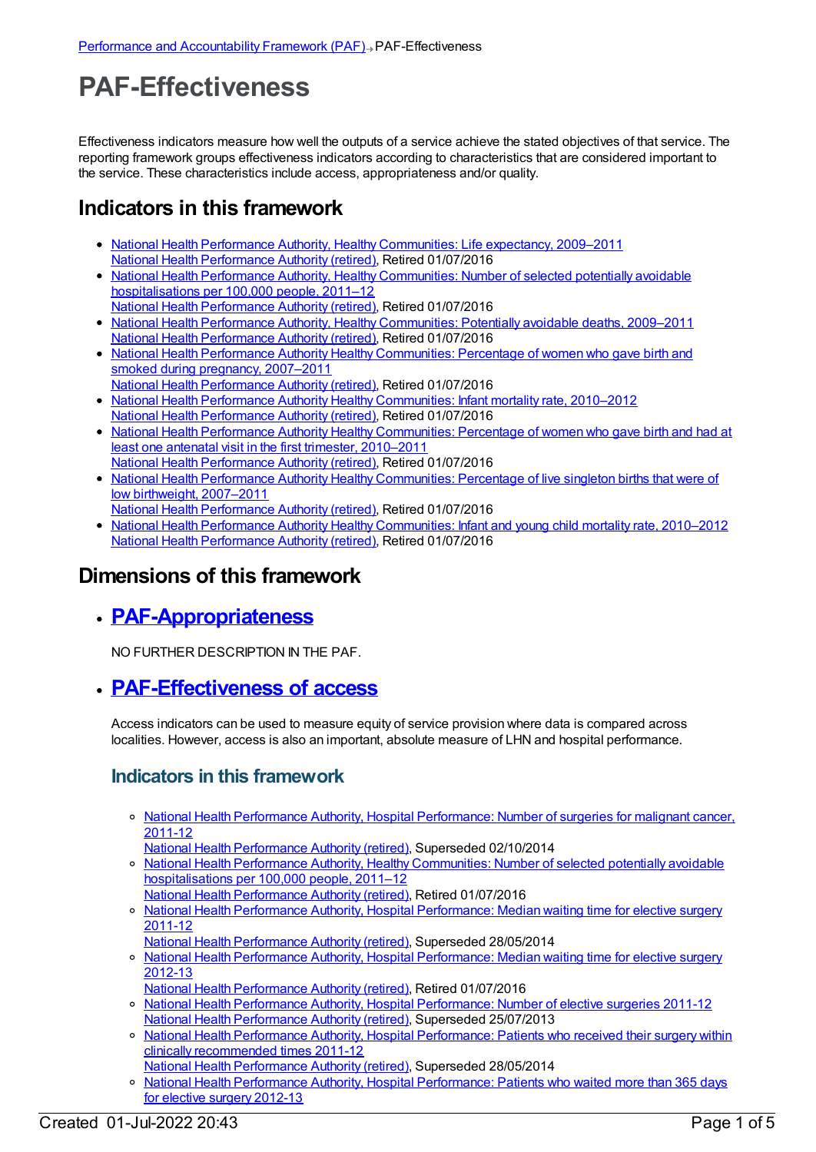# **PAF-Effectiveness**

Effectiveness indicators measure how well the outputs of a service achieve the stated objectives of that service. The reporting framework groups effectiveness indicators according to characteristics that are considered important to the service. These characteristics include access, appropriateness and/or quality.

## **Indicators in this framework**

- National Health Performance Authority, Healthy [Communities:](https://meteor.aihw.gov.au/content/527641) Life expectancy, 2009-2011 National Health [Performance](https://meteor.aihw.gov.au/RegistrationAuthority/8) Authority (retired), Retired 01/07/2016
- National Health Performance Authority, Healthy Communities: Number of selected potentially avoidable [hospitalisations](https://meteor.aihw.gov.au/content/549587) per 100,000 people, 2011–12
- National Health [Performance](https://meteor.aihw.gov.au/RegistrationAuthority/8) Authority (retired), Retired 01/07/2016 • National Health Performance Authority, Healthy [Communities:](https://meteor.aihw.gov.au/content/527720) Potentially avoidable deaths, 2009–2011 National Health [Performance](https://meteor.aihw.gov.au/RegistrationAuthority/8) Authority (retired), Retired 01/07/2016
- National Health Performance Authority Healthy [Communities:](https://meteor.aihw.gov.au/content/583506) Percentage of women who gave birth and smoked during pregnancy, 2007–2011
- National Health [Performance](https://meteor.aihw.gov.au/RegistrationAuthority/8) Authority (retired), Retired 01/07/2016
- National Health Performance Authority Healthy [Communities:](https://meteor.aihw.gov.au/content/583497) Infant mortality rate, 2010–2012 National Health [Performance](https://meteor.aihw.gov.au/RegistrationAuthority/8) Authority (retired), Retired 01/07/2016
- National Health Performance Authority Healthy [Communities:](https://meteor.aihw.gov.au/content/583479) Percentage of women who gave birth and had at least one antenatal visit in the first trimester, 2010–2011
- National Health [Performance](https://meteor.aihw.gov.au/RegistrationAuthority/8) Authority (retired), Retired 01/07/2016 • National Health Performance Authority Healthy [Communities:](https://meteor.aihw.gov.au/content/578021) Percentage of live singleton births that were of low birthweight, 2007–2011
- National Health [Performance](https://meteor.aihw.gov.au/RegistrationAuthority/8) Authority (retired), Retired 01/07/2016
- National Health Performance Authority Healthy [Communities:](https://meteor.aihw.gov.au/content/577612) Infant and young child mortality rate, 2010–2012 National Health [Performance](https://meteor.aihw.gov.au/RegistrationAuthority/8) Authority (retired), Retired 01/07/2016

### **Dimensions of this framework**

**[PAF-Appropriateness](https://meteor.aihw.gov.au/content/554929)**

NO FURTHER DESCRIPTION IN THE PAF.

**[PAF-Effectiveness](https://meteor.aihw.gov.au/content/554928) of access**

Access indicators can be used to measure equity of service provision where data is compared across localities. However, access is also an important, absolute measure of LHN and hospital performance.

#### **Indicators in this framework**

o National Health Performance Authority, Hospital [Performance:](https://meteor.aihw.gov.au/content/530143) Number of surgeries for malignant cancer, 2011-12

National Health [Performance](https://meteor.aihw.gov.au/RegistrationAuthority/8) Authority (retired), Superseded 02/10/2014

- National Health Performance Authority, Healthy [Communities:](https://meteor.aihw.gov.au/content/549587) Number of selected potentially avoidable hospitalisations per 100,000 people, 2011–12 National Health [Performance](https://meteor.aihw.gov.au/RegistrationAuthority/8) Authority (retired), Retired 01/07/2016
- o National Health Performance Authority, Hospital [Performance:](https://meteor.aihw.gov.au/content/527347) Median waiting time for elective surgery 2011-12
- National Health [Performance](https://meteor.aihw.gov.au/RegistrationAuthority/8) Authority (retired), Superseded 28/05/2014
- o National Health Performance Authority, Hospital [Performance:](https://meteor.aihw.gov.au/content/532942) Median waiting time for elective surgery 2012-13
- National Health [Performance](https://meteor.aihw.gov.au/RegistrationAuthority/8) Authority (retired), Retired 01/07/2016 o National Health Performance Authority, Hospital [Performance:](https://meteor.aihw.gov.au/content/527374) Number of elective surgeries 2011-12
- National Health [Performance](https://meteor.aihw.gov.au/RegistrationAuthority/8) Authority (retired), Superseded 25/07/2013
- <sup>o</sup> National Health Performance Authority, Hospital [Performance:](https://meteor.aihw.gov.au/content/527368) Patients who received their surgery within clinically recommended times 2011-12
- National Health [Performance](https://meteor.aihw.gov.au/RegistrationAuthority/8) Authority (retired), Superseded 28/05/2014
- o National Health Performance Authority, Hospital [Performance:](https://meteor.aihw.gov.au/content/532932) Patients who waited more than 365 days for elective surgery 2012-13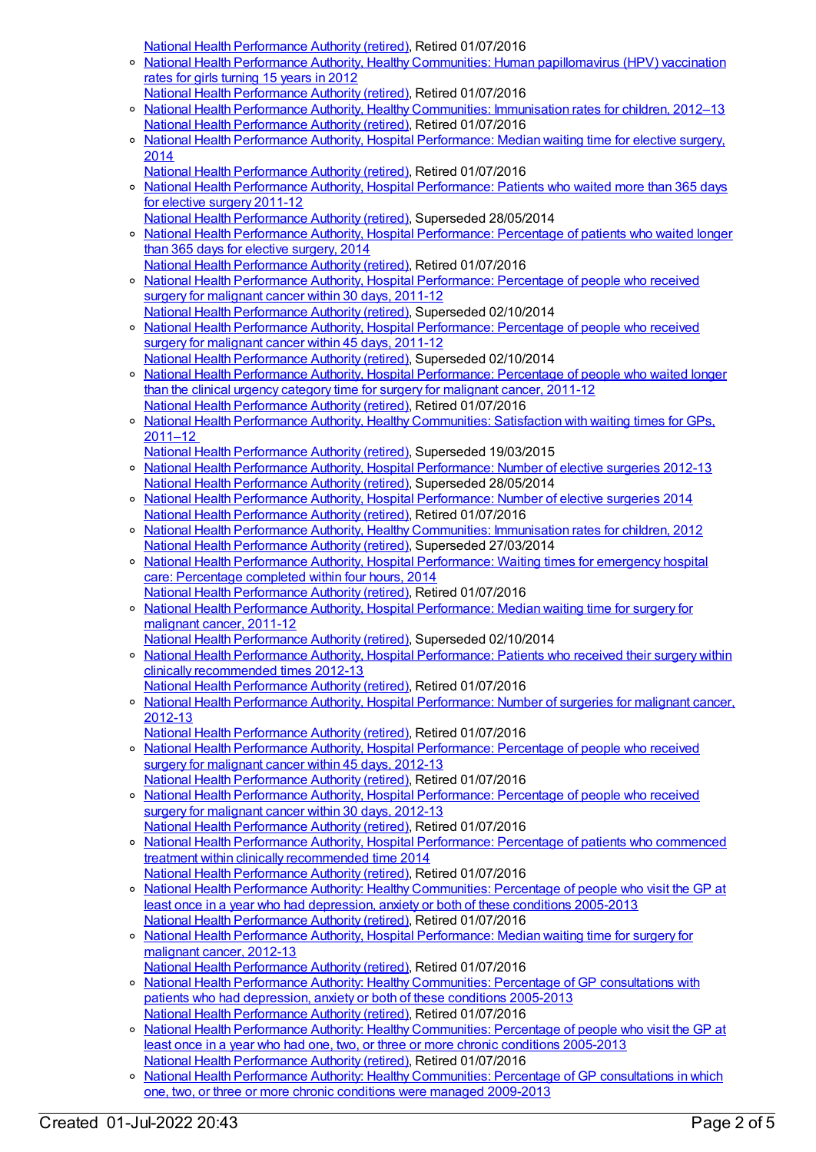National Health [Performance](https://meteor.aihw.gov.au/RegistrationAuthority/8) Authority (retired), Retired 01/07/2016

- $\circ$ National Health Performance Authority, Healthy Communities: Human [papillomavirus](https://meteor.aihw.gov.au/content/564385) (HPV) vaccination rates for girls turning 15 years in 2012
- National Health [Performance](https://meteor.aihw.gov.au/RegistrationAuthority/8) Authority (retired), Retired 01/07/2016 o National Health Performance Authority, Healthy [Communities:](https://meteor.aihw.gov.au/content/564342) Immunisation rates for children, 2012-13 National Health [Performance](https://meteor.aihw.gov.au/RegistrationAuthority/8) Authority (retired), Retired 01/07/2016
- o National Health Performance Authority, Hospital [Performance:](https://meteor.aihw.gov.au/content/558302) Median waiting time for elective surgery, 2014
- National Health [Performance](https://meteor.aihw.gov.au/RegistrationAuthority/8) Authority (retired), Retired 01/07/2016
- o National Health Performance Authority, Hospital [Performance:](https://meteor.aihw.gov.au/content/527371) Patients who waited more than 365 days for elective surgery 2011-12 National Health [Performance](https://meteor.aihw.gov.au/RegistrationAuthority/8) Authority (retired), Superseded 28/05/2014
- National Health Performance Authority, Hospital [Performance:](https://meteor.aihw.gov.au/content/558296) Percentage of patients who waited longer than 365 days for elective surgery, 2014 National Health [Performance](https://meteor.aihw.gov.au/RegistrationAuthority/8) Authority (retired), Retired 01/07/2016
- o National Health Performance Authority, Hospital [Performance:](https://meteor.aihw.gov.au/content/530411) Percentage of people who received surgery for malignant cancer within 30 days, 2011-12 National Health [Performance](https://meteor.aihw.gov.au/RegistrationAuthority/8) Authority (retired), Superseded 02/10/2014
- o National Health Performance Authority, Hospital [Performance:](https://meteor.aihw.gov.au/content/543422) Percentage of people who received surgery for malignant cancer within 45 days, 2011-12
- National Health [Performance](https://meteor.aihw.gov.au/RegistrationAuthority/8) Authority (retired), Superseded 02/10/2014 National Health Performance Authority, Hospital [Performance:](https://meteor.aihw.gov.au/content/530408) Percentage of people who waited longer than the clinical urgency category time for surgery for malignant cancer, 2011-12 National Health [Performance](https://meteor.aihw.gov.au/RegistrationAuthority/8) Authority (retired), Retired 01/07/2016
- o National Health Performance Authority, Healthy [Communities:](https://meteor.aihw.gov.au/content/529386) Satisfaction with waiting times for GPs, 2011–12

National Health [Performance](https://meteor.aihw.gov.au/RegistrationAuthority/8) Authority (retired), Superseded 19/03/2015

- o National Health Performance Authority, Hospital [Performance:](https://meteor.aihw.gov.au/content/532929) Number of elective surgeries 2012-13 National Health [Performance](https://meteor.aihw.gov.au/RegistrationAuthority/8) Authority (retired), Superseded 28/05/2014
- National Health Performance Authority, Hospital [Performance:](https://meteor.aihw.gov.au/content/558288) Number of elective surgeries 2014 National Health [Performance](https://meteor.aihw.gov.au/RegistrationAuthority/8) Authority (retired), Retired 01/07/2016
- o National Health Performance Authority, Healthy [Communities:](https://meteor.aihw.gov.au/content/515538) Immunisation rates for children, 2012 National Health [Performance](https://meteor.aihw.gov.au/RegistrationAuthority/8) Authority (retired), Superseded 27/03/2014
- o National Health Performance Authority, Hospital [Performance:](https://meteor.aihw.gov.au/content/558277) Waiting times for emergency hospital care: Percentage completed within four hours, 2014 National Health [Performance](https://meteor.aihw.gov.au/RegistrationAuthority/8) Authority (retired), Retired 01/07/2016
- National Health Performance Authority, Hospital [Performance:](https://meteor.aihw.gov.au/content/530403) Median waiting time for surgery for malignant cancer, 2011-12
- National Health [Performance](https://meteor.aihw.gov.au/RegistrationAuthority/8) Authority (retired), Superseded 02/10/2014
- o National Health Performance Authority, Hospital [Performance:](https://meteor.aihw.gov.au/content/532935) Patients who received their surgery within clinically recommended times 2012-13 National Health [Performance](https://meteor.aihw.gov.au/RegistrationAuthority/8) Authority (retired), Retired 01/07/2016
- o National Health Performance Authority, Hospital [Performance:](https://meteor.aihw.gov.au/content/579929) Number of surgeries for malignant cancer, 2012-13
	- National Health [Performance](https://meteor.aihw.gov.au/RegistrationAuthority/8) Authority (retired), Retired 01/07/2016
- National Health Performance Authority, Hospital [Performance:](https://meteor.aihw.gov.au/content/579894) Percentage of people who received surgery for malignant cancer within 45 days, 2012-13 National Health [Performance](https://meteor.aihw.gov.au/RegistrationAuthority/8) Authority (retired), Retired 01/07/2016
- National Health Performance Authority, Hospital [Performance:](https://meteor.aihw.gov.au/content/579993) Percentage of people who received surgery for malignant cancer within 30 days, 2012-13
- National Health [Performance](https://meteor.aihw.gov.au/RegistrationAuthority/8) Authority (retired), Retired 01/07/2016 National Health Performance Authority, Hospital [Performance:](https://meteor.aihw.gov.au/content/563081) Percentage of patients who commenced treatment within clinically recommended time 2014
- National Health [Performance](https://meteor.aihw.gov.au/RegistrationAuthority/8) Authority (retired), Retired 01/07/2016
- o National Health Performance Authority: Healthy [Communities:](https://meteor.aihw.gov.au/content/593768) Percentage of people who visit the GP at least once in a year who had depression, anxiety or both of these conditions 2005-2013 National Health [Performance](https://meteor.aihw.gov.au/RegistrationAuthority/8) Authority (retired), Retired 01/07/2016
- National Health Performance Authority, Hospital [Performance:](https://meteor.aihw.gov.au/content/579970) Median waiting time for surgery for malignant cancer, 2012-13
- National Health [Performance](https://meteor.aihw.gov.au/RegistrationAuthority/8) Authority (retired), Retired 01/07/2016
- o National Health Performance Authority: Healthy [Communities:](https://meteor.aihw.gov.au/content/588162) Percentage of GP consultations with patients who had depression, anxiety or both of these conditions 2005-2013 National Health [Performance](https://meteor.aihw.gov.au/RegistrationAuthority/8) Authority (retired), Retired 01/07/2016
- o National Health Performance Authority: Healthy [Communities:](https://meteor.aihw.gov.au/content/586349) Percentage of people who visit the GP at least once in a year who had one, two, or three or more chronic conditions 2005-2013 National Health [Performance](https://meteor.aihw.gov.au/RegistrationAuthority/8) Authority (retired), Retired 01/07/2016
- National Health Performance Authority: Healthy [Communities:](https://meteor.aihw.gov.au/content/586345) Percentage of GP consultations in which one, two, or three or more chronic conditions were managed 2009-2013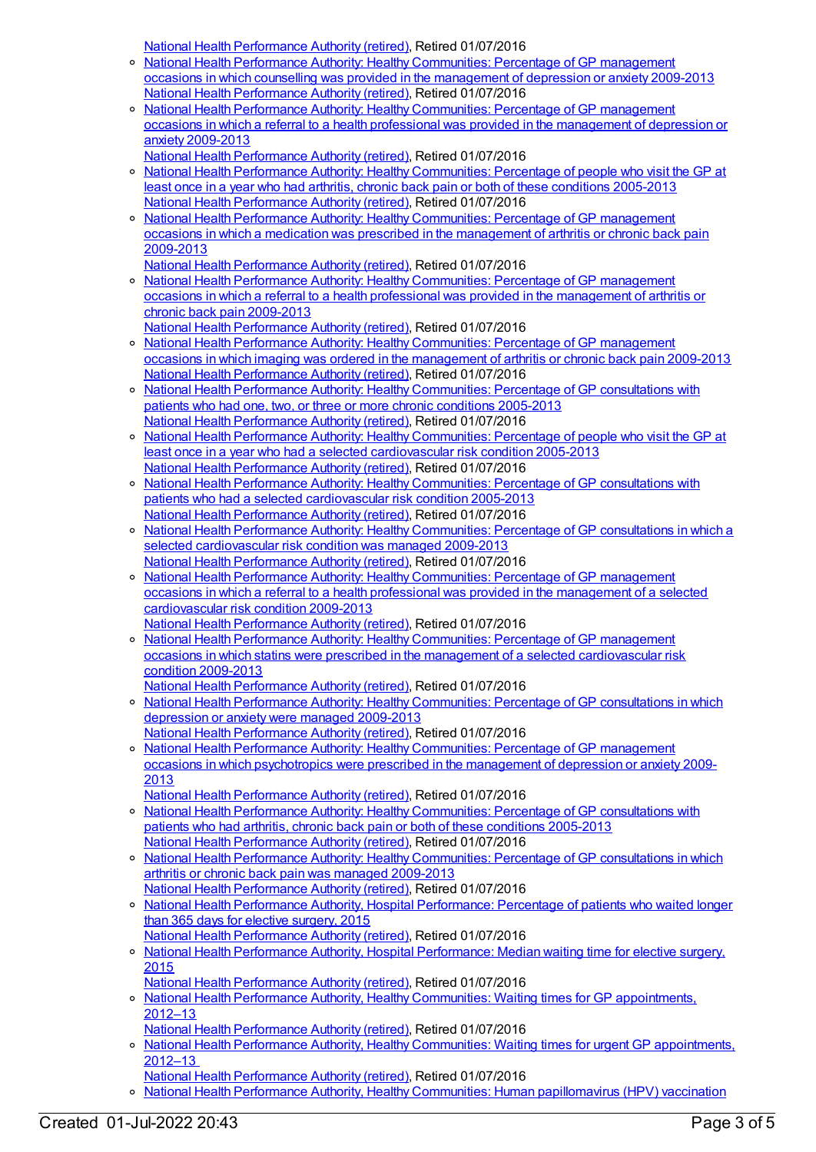National Health [Performance](https://meteor.aihw.gov.au/RegistrationAuthority/8) Authority (retired), Retired 01/07/2016

- National Health Performance Authority: Healthy [Communities:](https://meteor.aihw.gov.au/content/593774) Percentage of GP management  $\circ$ occasions in which counselling was provided in the management of depression or anxiety 2009-2013 National Health [Performance](https://meteor.aihw.gov.au/RegistrationAuthority/8) Authority (retired), Retired 01/07/2016
- o National Health Performance Authority: Healthy [Communities:](https://meteor.aihw.gov.au/content/594756) Percentage of GP management occasions in which a referral to a health professional was provided in the management of depression or anxiety 2009-2013
	- National Health [Performance](https://meteor.aihw.gov.au/RegistrationAuthority/8) Authority (retired), Retired 01/07/2016
- o National Health Performance Authority: Healthy [Communities:](https://meteor.aihw.gov.au/content/593791) Percentage of people who visit the GP at least once in a year who had arthritis, chronic back pain or both of these conditions 2005-2013 National Health [Performance](https://meteor.aihw.gov.au/RegistrationAuthority/8) Authority (retired), Retired 01/07/2016
- National Health Performance Authority: Healthy [Communities:](https://meteor.aihw.gov.au/content/593798) Percentage of GP management occasions in which a medication was prescribed in the management of arthritis or chronic back pain 2009-2013
- National Health [Performance](https://meteor.aihw.gov.au/RegistrationAuthority/8) Authority (retired), Retired 01/07/2016
- National Health Performance Authority: Healthy [Communities:](https://meteor.aihw.gov.au/content/595024) Percentage of GP management occasions in which a referral to a health professional was provided in the management of arthritis or chronic back pain 2009-2013

National Health [Performance](https://meteor.aihw.gov.au/RegistrationAuthority/8) Authority (retired), Retired 01/07/2016

- National Health Performance Authority: Healthy [Communities:](https://meteor.aihw.gov.au/content/593803) Percentage of GP management occasions in which imaging was ordered in the management of arthritis or chronic back pain 2009-2013 National Health [Performance](https://meteor.aihw.gov.au/RegistrationAuthority/8) Authority (retired), Retired 01/07/2016
- o National Health Performance Authority: Healthy [Communities:](https://meteor.aihw.gov.au/content/586342) Percentage of GP consultations with patients who had one, two, or three or more chronic conditions 2005-2013 National Health [Performance](https://meteor.aihw.gov.au/RegistrationAuthority/8) Authority (retired), Retired 01/07/2016
- o National Health Performance Authority: Healthy [Communities:](https://meteor.aihw.gov.au/content/593780) Percentage of people who visit the GP at least once in a year who had a selected cardiovascular risk condition 2005-2013 National Health [Performance](https://meteor.aihw.gov.au/RegistrationAuthority/8) Authority (retired), Retired 01/07/2016
- National Health Performance Authority: Healthy [Communities:](https://meteor.aihw.gov.au/content/593783) Percentage of GP consultations with patients who had a selected cardiovascular risk condition 2005-2013 National Health [Performance](https://meteor.aihw.gov.au/RegistrationAuthority/8) Authority (retired), Retired 01/07/2016
- o National Health Performance Authority: Healthy [Communities:](https://meteor.aihw.gov.au/content/593785) Percentage of GP consultations in which a selected cardiovascular risk condition was managed 2009-2013 National Health [Performance](https://meteor.aihw.gov.au/RegistrationAuthority/8) Authority (retired), Retired 01/07/2016
- National Health Performance Authority: Healthy [Communities:](https://meteor.aihw.gov.au/content/593787) Percentage of GP management occasions in which a referral to a health professional was provided in the management of a selected cardiovascular risk condition 2009-2013 National Health [Performance](https://meteor.aihw.gov.au/RegistrationAuthority/8) Authority (retired), Retired 01/07/2016
- o National Health Performance Authority: Healthy Communities: Percentage of GP management occasions in which statins were prescribed in the management of a selected [cardiovascular](https://meteor.aihw.gov.au/content/593789) risk condition 2009-2013
	- National Health [Performance](https://meteor.aihw.gov.au/RegistrationAuthority/8) Authority (retired), Retired 01/07/2016
- <sup>o</sup> National Health Performance Authority: Healthy [Communities:](https://meteor.aihw.gov.au/content/593770) Percentage of GP consultations in which depression or anxiety were managed 2009-2013 National Health [Performance](https://meteor.aihw.gov.au/RegistrationAuthority/8) Authority (retired), Retired 01/07/2016
- National Health Performance Authority: Healthy [Communities:](https://meteor.aihw.gov.au/content/593772) Percentage of GP management occasions in which psychotropics were prescribed in the management of depression or anxiety 2009- 2013

National Health [Performance](https://meteor.aihw.gov.au/RegistrationAuthority/8) Authority (retired), Retired 01/07/2016

- National Health Performance Authority: Healthy [Communities:](https://meteor.aihw.gov.au/content/593793) Percentage of GP consultations with patients who had arthritis, chronic back pain or both of these conditions 2005-2013 National Health [Performance](https://meteor.aihw.gov.au/RegistrationAuthority/8) Authority (retired), Retired 01/07/2016
- o National Health Performance Authority: Healthy [Communities:](https://meteor.aihw.gov.au/content/593796) Percentage of GP consultations in which arthritis or chronic back pain was managed 2009-2013 National Health [Performance](https://meteor.aihw.gov.au/RegistrationAuthority/8) Authority (retired), Retired 01/07/2016
- National Health Performance Authority, Hospital [Performance:](https://meteor.aihw.gov.au/content/602986) Percentage of patients who waited longer than 365 days for elective surgery, 2015
- National Health [Performance](https://meteor.aihw.gov.au/RegistrationAuthority/8) Authority (retired), Retired 01/07/2016 o National Health Performance Authority, Hospital [Performance:](https://meteor.aihw.gov.au/content/603005) Median waiting time for elective surgery, 2015
- National Health [Performance](https://meteor.aihw.gov.au/RegistrationAuthority/8) Authority (retired), Retired 01/07/2016
- o National Health Performance Authority, Healthy Communities: Waiting times for GP [appointments,](https://meteor.aihw.gov.au/content/601882) 2012–13
- National Health [Performance](https://meteor.aihw.gov.au/RegistrationAuthority/8) Authority (retired), Retired 01/07/2016
- National Health Performance Authority, Healthy Communities: Waiting times for urgent GP [appointments,](https://meteor.aihw.gov.au/content/594794) 2012–13
- National Health [Performance](https://meteor.aihw.gov.au/RegistrationAuthority/8) Authority (retired), Retired 01/07/2016
- National Health Performance Authority, Healthy Communities: Human [papillomavirus](https://meteor.aihw.gov.au/content/611806) (HPV) vaccination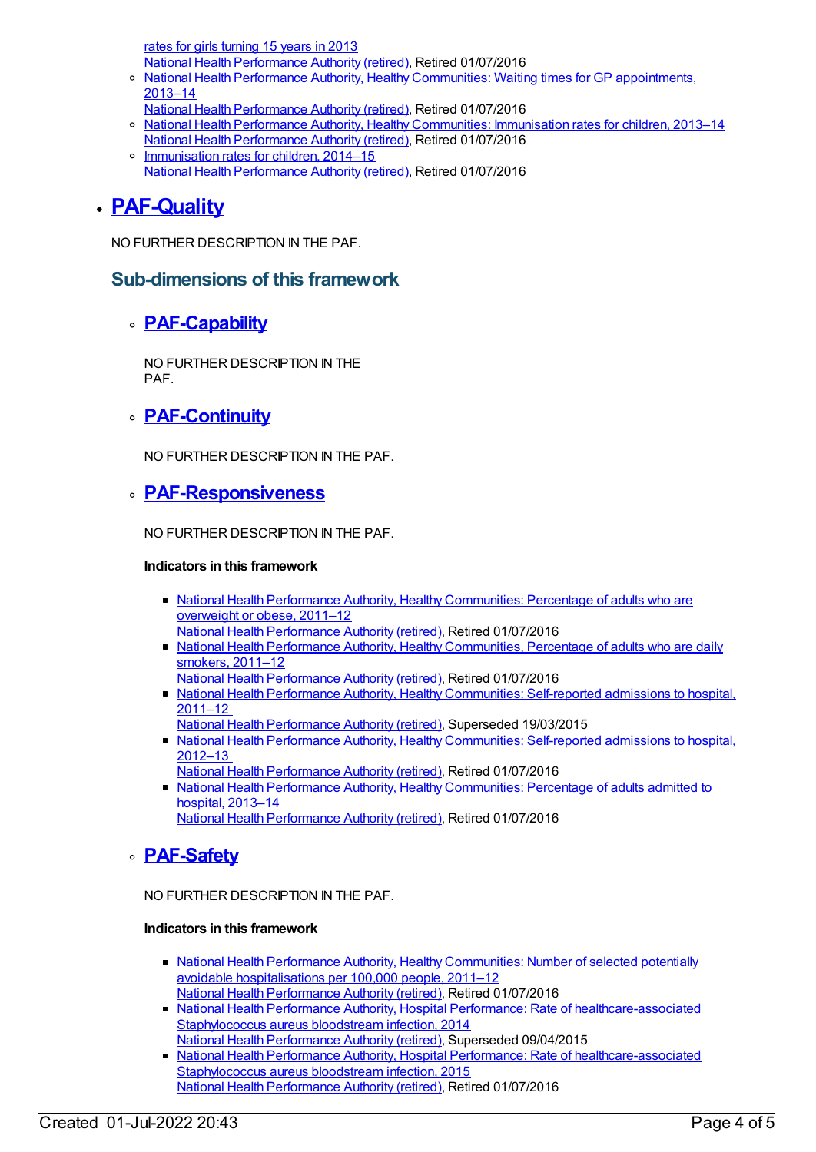rates for girls turning 15 years in 2013 National Health [Performance](https://meteor.aihw.gov.au/RegistrationAuthority/8) Authority (retired), Retired 01/07/2016

- o National Health Performance Authority, Healthy Communities: Waiting times for GP [appointments,](https://meteor.aihw.gov.au/content/611264) 2013–14
- National Health [Performance](https://meteor.aihw.gov.au/RegistrationAuthority/8) Authority (retired), Retired 01/07/2016
- o National Health Performance Authority, Healthy [Communities:](https://meteor.aihw.gov.au/content/611799) Immunisation rates for children, 2013-14 National Health [Performance](https://meteor.aihw.gov.au/RegistrationAuthority/8) Authority (retired), Retired 01/07/2016
- o <u>[Immunisation](https://meteor.aihw.gov.au/content/630476) rates for children, 2014–15</u> National Health [Performance](https://meteor.aihw.gov.au/RegistrationAuthority/8) Authority (retired), Retired 01/07/2016

#### **[PAF-Quality](https://meteor.aihw.gov.au/content/554930)**

NO FURTHER DESCRIPTION IN THE PAF.

#### **Sub-dimensions of this framework**

#### **[PAF-Capability](https://meteor.aihw.gov.au/content/554934)**

NO FURTHER DESCRIPTION IN THE PAF.

#### **[PAF-Continuity](https://meteor.aihw.gov.au/content/554935)**

NO FURTHER DESCRIPTION IN THE PAF.

#### **[PAF-Responsiveness](https://meteor.aihw.gov.au/content/554933)**

NO FURTHER DESCRIPTION IN THE PAF.

#### **Indicators in this framework**

- National Health Performance Authority, Healthy [Communities:](https://meteor.aihw.gov.au/content/527650) Percentage of adults who are overweight or obese, 2011–12
	- National Health [Performance](https://meteor.aihw.gov.au/RegistrationAuthority/8) Authority (retired), Retired 01/07/2016
- National Health Performance Authority, Healthy [Communities,](https://meteor.aihw.gov.au/content/527654) Percentage of adults who are daily smokers, 2011–12
- National Health [Performance](https://meteor.aihw.gov.au/RegistrationAuthority/8) Authority (retired), Retired 01/07/2016
- National Health Performance Authority, Healthy [Communities:](https://meteor.aihw.gov.au/content/548005) Self-reported admissions to hospital, 2011–12
	- National Health [Performance](https://meteor.aihw.gov.au/RegistrationAuthority/8) Authority (retired), Superseded 19/03/2015
- National Health Performance Authority, Healthy [Communities:](https://meteor.aihw.gov.au/content/601829) Self-reported admissions to hospital, 2012–13
- National Health [Performance](https://meteor.aihw.gov.au/RegistrationAuthority/8) Authority (retired), Retired 01/07/2016
- National Health Performance Authority, Healthy [Communities:](https://meteor.aihw.gov.au/content/611078) Percentage of adults admitted to hospital, 2013–14

National Health [Performance](https://meteor.aihw.gov.au/RegistrationAuthority/8) Authority (retired), Retired 01/07/2016

### **[PAF-Safety](https://meteor.aihw.gov.au/content/554932)**

NO FURTHER DESCRIPTION IN THE PAF.

#### **Indicators in this framework**

- National Health Performance Authority, Healthy [Communities:](https://meteor.aihw.gov.au/content/549587) Number of selected potentially avoidable hospitalisations per 100,000 people, 2011–12 National Health [Performance](https://meteor.aihw.gov.au/RegistrationAuthority/8) Authority (retired), Retired 01/07/2016
- National Health Performance Authority, Hospital Performance: Rate of [healthcare-associated](https://meteor.aihw.gov.au/content/558746) Staphylococcus aureus bloodstream infection, 2014
- National Health [Performance](https://meteor.aihw.gov.au/RegistrationAuthority/8) Authority (retired), Superseded 09/04/2015
- National Health Performance Authority, Hospital Performance: Rate of [healthcare-associated](https://meteor.aihw.gov.au/content/602700) Staphylococcus aureus bloodstream infection, 2015 National Health [Performance](https://meteor.aihw.gov.au/RegistrationAuthority/8) Authority (retired), Retired 01/07/2016